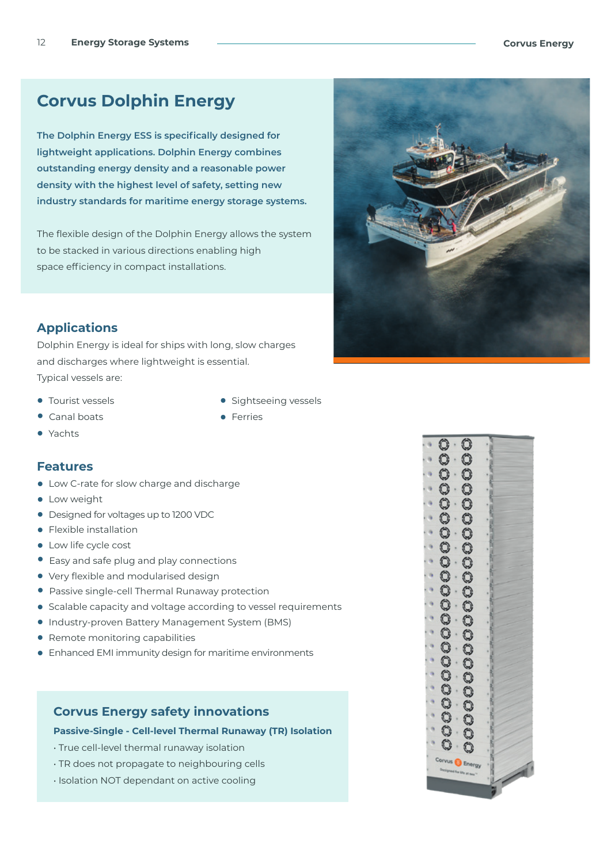## **Corvus Dolphin Energy**

**The Dolphin Energy ESS is specifically designed for lightweight applications. Dolphin Energy combines outstanding energy density and a reasonable power density with the highest level of safety, setting new industry standards for maritime energy storage systems.** 

The flexible design of the Dolphin Energy allows the system to be stacked in various directions enabling high space efficiency in compact installations.



## **Applications**

Dolphin Energy is ideal for ships with long, slow charges and discharges where lightweight is essential. Typical vessels are:

- **•** Tourist vessels
- **•** Canal boats
- **•** Yachts

#### **Features**

- **•** Low C-rate for slow charge and discharge
- **•** Low weight
- **•** Designed for voltages up to 1200 VDC
- **•** Flexible installation
- **•** Low life cycle cost
- **•** Easy and safe plug and play connections
- **•** Very flexible and modularised design
- **•** Passive single-cell Thermal Runaway protection
- **•** Scalable capacity and voltage according to vessel requirements
- **•** Industry-proven Battery Management System (BMS)
- **•** Remote monitoring capabilities
- **•** Enhanced EMI immunity design for maritime environments

### **Corvus Energy safety innovations**

**Passive-Single - Cell-level Thermal Runaway (TR) Isolation**

- True cell-level thermal runaway isolation
- TR does not propagate to neighbouring cells
- Isolation NOT dependant on active cooling
- Sightseeing vessels
- **•** Ferries